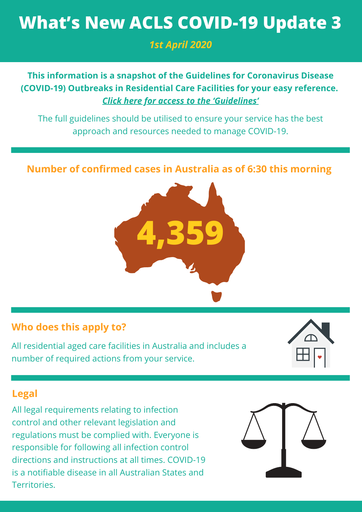# **What's New ACLS COVID-19 Update 3**

*1st April 2020*

## **This information is a snapshot of the Guidelines for Coronavirus Disease (COVID-19) Outbreaks in Residential Care Facilities for your easy reference.** *Click here for access to the ['Guidelines'](https://www.health.gov.au/resources/publications/coronavirus-covid-19-guidelines-for-outbreaks-in-residential-care-facilities)*

The full guidelines should be utilised to ensure your service has the best approach and resources needed to manage COVID-19.

## **Number of confirmed cases in Australia as of 6:30 this morning**



#### **Who does this apply to?**

All residential aged care facilities in Australia and includes a number of required actions from your service.



#### **Legal**

All legal requirements relating to infection control and other relevant legislation and regulations must be complied with. Everyone is responsible for following all infection control directions and instructions at all times. COVID-19 is a notifiable disease in all Australian States and Territories.

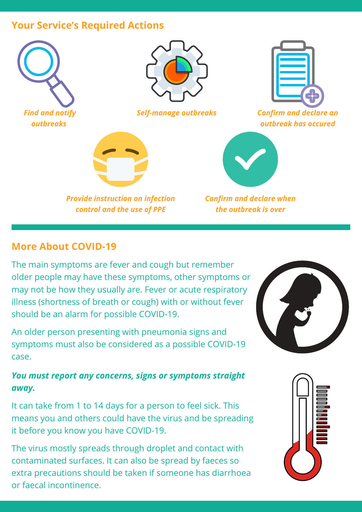#### **Your Service's Required Actions**



#### **More About COVID-19**

The main symptoms are fever and cough but remember older people may have these symptoms, other symptoms or may not be how they usually are. Fever or acute respiratory illness (shortness of breath or cough) with or without fever should be an alarm for possible COVID-19.

An older person presenting with pneumonia signs and symptoms must also be considered as a possible COVID-19 case.

#### *You must report any concerns, signs or symptoms straight away.*

It can take from 1 to 14 days for a person to feel sick. This means you and others could have the virus and be spreading it before you know you have COVID-19.

The virus mostly spreads through droplet and contact with contaminated surfaces. It can also be spread by faeces so extra precautions should be taken if someone has diarrhoea or faecal incontinence.



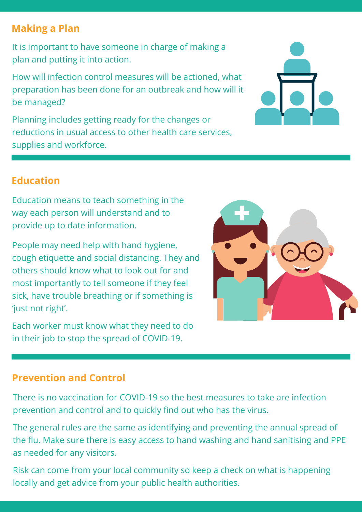## **Making a Plan**

It is important to have someone in charge of making a plan and putting it into action.

How will infection control measures will be actioned, what preparation has been done for an outbreak and how will it be managed?

Planning includes getting ready for the changes or reductions in usual access to other health care services, supplies and workforce.



## **Education**

Education means to teach something in the way each person will understand and to provide up to date information.

People may need help with hand hygiene, cough etiquette and social distancing. They and others should know what to look out for and most importantly to tell someone if they feel sick, have trouble breathing or if something is 'just not right'.

Each worker must know what they need to do in their job to stop the spread of COVID-19.



## **Prevention and Control**

There is no vaccination for COVID-19 so the best measures to take are infection prevention and control and to quickly find out who has the virus.

The general rules are the same as identifying and preventing the annual spread of the flu. Make sure there is easy access to hand washing and hand sanitising and PPE as needed for any visitors.

Risk can come from your local community so keep a check on what is happening locally and get advice from your public health authorities.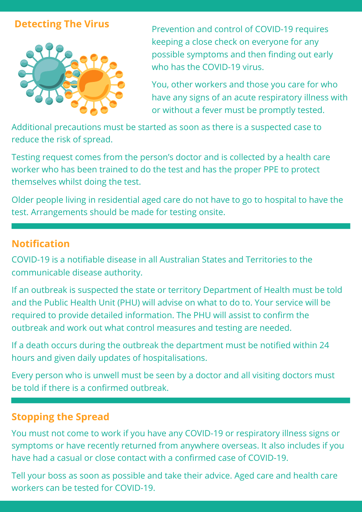#### **Detecting The Virus**



Prevention and control of COVID-19 requires keeping a close check on everyone for any possible symptoms and then finding out early who has the COVID-19 virus.

You, other workers and those you care for who have any signs of an acute respiratory illness with or without a fever must be promptly tested.

Additional precautions must be started as soon as there is a suspected case to reduce the risk of spread.

Testing request comes from the person's doctor and is collected by a health care worker who has been trained to do the test and has the proper PPE to protect themselves whilst doing the test.

Older people living in residential aged care do not have to go to hospital to have the test. Arrangements should be made for testing onsite.

#### **Notification**

COVID-19 is a notifiable disease in all Australian States and Territories to the communicable disease authority.

If an outbreak is suspected the state or territory Department of Health must be told and the Public Health Unit (PHU) will advise on what to do to. Your service will be required to provide detailed information. The PHU will assist to confirm the outbreak and work out what control measures and testing are needed.

If a death occurs during the outbreak the department must be notified within 24 hours and given daily updates of hospitalisations.

Every person who is unwell must be seen by a doctor and all visiting doctors must be told if there is a confirmed outbreak.

## **Stopping the Spread**

You must not come to work if you have any COVID-19 or respiratory illness signs or symptoms or have recently returned from anywhere overseas. It also includes if you have had a casual or close contact with a confirmed case of COVID-19.

Tell your boss as soon as possible and take their advice. Aged care and health care workers can be tested for COVID-19.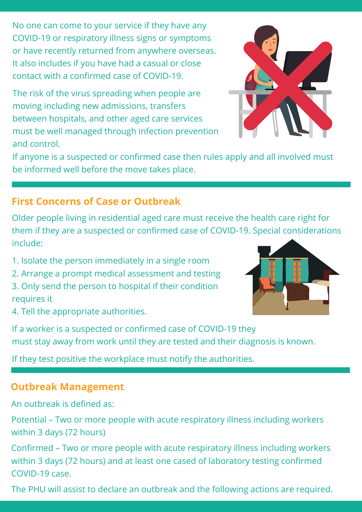No one can come to your service if they have any COVID-19 or respiratory illness signs or symptoms or have recently returned from anywhere overseas. It also includes if you have had a casual or close contact with a confirmed case of COVID-19.

The risk of the virus spreading when people are moving including new admissions, transfers between hospitals, and other aged care services must be well managed through infection prevention and control.



If anyone is a suspected or confirmed case then rules apply and all involved must be informed well before the move takes place.

## **First Concerns of Case or Outbreak**

Older people living in residential aged care must receive the health care right for them if they are a suspected or confirmed case of COVID-19. Special considerations include:

- 1. Isolate the person immediately in a single room
- 2. Arrange a prompt medical assessment and testing
- 3. Only send the person to hospital if their condition requires it



4. Tell the appropriate authorities.

If a worker is a suspected or confirmed case of COVID-19 they must stay away from work until they are tested and their diagnosis is known.

If they test positive the workplace must notify the authorities.

## **Outbreak Management**

An outbreak is defined as:

Potential – Two or more people with acute respiratory illness including workers within 3 days (72 hours)

Confirmed – Two or more people with acute respiratory illness including workers within 3 days (72 hours) and at least one cased of laboratory testing confirmed COVID-19 case.

The PHU will assist to declare an outbreak and the following actions are required.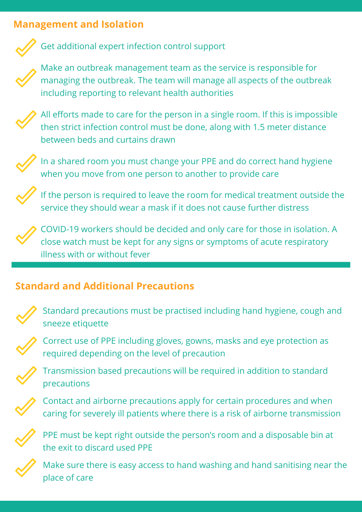## **Management and Isolation**



#### Get additional expert infection control support

Make an outbreak management team as the service is responsible for managing the outbreak. The team will manage all aspects of the outbreak including reporting to relevant health authorities



All efforts made to care for the person in a single room. If this is impossible then strict infection control must be done, along with 1.5 meter distance between beds and curtains drawn



In a shared room you must change your PPE and do correct hand hygiene when you move from one person to another to provide care

If the person is required to leave the room for medical treatment outside the service they should wear a mask if it does not cause further distress



COVID-19 workers should be decided and only care for those in isolation. A close watch must be kept for any signs or symptoms of acute respiratory illness with or without fever

## **Standard and Additional Precautions**



Standard precautions must be practised including hand hygiene, cough and sneeze etiquette



Correct use of PPE including gloves, gowns, masks and eye protection as required depending on the level of precaution



Transmission based precautions will be required in addition to standard precautions



Contact and airborne precautions apply for certain procedures and when caring for severely ill patients where there is a risk of airborne transmission



PPE must be kept right outside the person's room and a disposable bin at the exit to discard used PPE



Make sure there is easy access to hand washing and hand sanitising near the place of care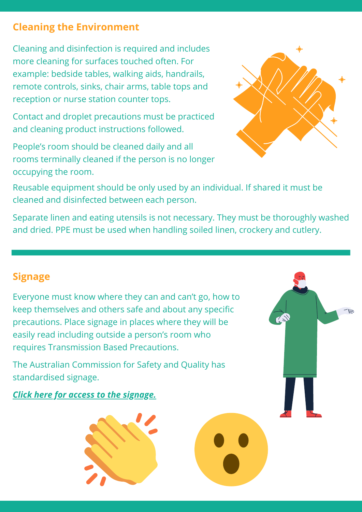## **Cleaning the Environment**

Cleaning and disinfection is required and includes more cleaning for surfaces touched often. For example: bedside tables, walking aids, handrails, remote controls, sinks, chair arms, table tops and reception or nurse station counter tops.

Contact and droplet precautions must be practiced and cleaning product instructions followed.

People's room should be cleaned daily and all rooms terminally cleaned if the person is no longer occupying the room.



Reusable equipment should be only used by an individual. If shared it must be cleaned and disinfected between each person.

Separate linen and eating utensils is not necessary. They must be thoroughly washed and dried. PPE must be used when handling soiled linen, crockery and cutlery.

## **Signage**

Everyone must know where they can and can't go, how to keep themselves and others safe and about any specific precautions. Place signage in places where they will be easily read including outside a person's room who requires Transmission Based Precautions.

The Australian Commission for Safety and Quality has standardised signage.

*Click here for access to the [signage.](https://www.safetyandquality.gov.au/our-work/healthcare-associated-infection/infection-control-signage)*

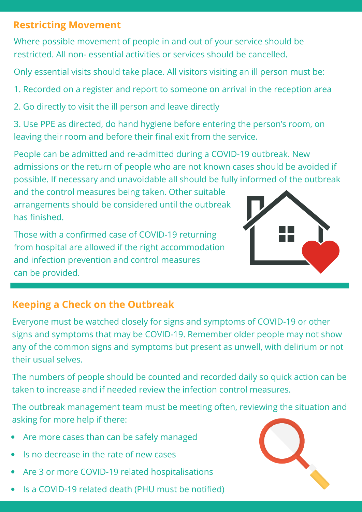## **Restricting Movement**

Where possible movement of people in and out of your service should be restricted. All non- essential activities or services should be cancelled.

Only essential visits should take place. All visitors visiting an ill person must be:

- 1. Recorded on a register and report to someone on arrival in the reception area
- 2. Go directly to visit the ill person and leave directly

3. Use PPE as directed, do hand hygiene before entering the person's room, on leaving their room and before their final exit from the service.

People can be admitted and re-admitted during a COVID-19 outbreak. New admissions or the return of people who are not known cases should be avoided if possible. If necessary and unavoidable all should be fully informed of the outbreak

and the control measures being taken. Other suitable arrangements should be considered until the outbreak has finished.

Those with a confirmed case of COVID-19 returning from hospital are allowed if the right accommodation and infection prevention and control measures can be provided.



## **Keeping a Check on the Outbreak**

Everyone must be watched closely for signs and symptoms of COVID-19 or other signs and symptoms that may be COVID-19. Remember older people may not show any of the common signs and symptoms but present as unwell, with delirium or not their usual selves.

The numbers of people should be counted and recorded daily so quick action can be taken to increase and if needed review the infection control measures.

The outbreak management team must be meeting often, reviewing the situation and asking for more help if there:

- Are more cases than can be safely managed
- Is no decrease in the rate of new cases
- Are 3 or more COVID-19 related hospitalisations
- Is a COVID-19 related death (PHU must be notified)